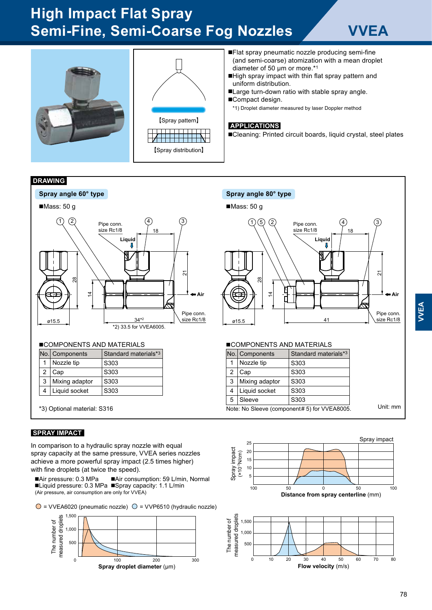# **High Impact Flat Spray Semi-Fine, Semi-Coarse Fog Nozzles VVEA**





- ■Flat spray pneumatic nozzle producing semi-fine (and semi-coarse) atomization with a mean droplet diameter of 50 μm or more.\*<sup>1</sup>
- ■High spray impact with thin flat spray pattern and uniform distribution.
- ■Large turn-down ratio with stable spray angle. ■Compact design.
	- \*1) Droplet diameter measured by laser Doppler method

#### **APPLICATIONS**

■Cleaning: Printed circuit boards, liquid crystal, steel plates

#### **DRAWING**



## ■COMPONENTS AND MATERIALS

|                | No.   Components | Standard materials*3 |
|----------------|------------------|----------------------|
|                | Nozzle tip       | S303                 |
| $\overline{2}$ | Cap              | S303                 |
| 3              | Mixing adaptor   | S303                 |
|                | Liquid socket    | S303                 |

\*3) Optional material: S316

### **SPRAY IMPACT**

In comparison to a hydraulic spray nozzle with equal spray capacity at the same pressure, VVEA series nozzles achieve a more powerful spray impact (2.5 times higher) with fine droplets (at twice the speed).

■Air pressure: 0.3 MPa ■Air consumption: 59 L/min, Normal ■Liquid pressure: 0.3 MPa ■Spray capacity: 1.1 L/min (Air pressure, air consumption are only for VVEA)

 $\bigcirc$  = VVEA6020 (pneumatic nozzle)  $\bigcirc$  = VVP6510 (hydraulic nozzle)





#### ■COMPONENTS AND MATERIALS

|                                              | No.   Components | Standard materials*3 |  |
|----------------------------------------------|------------------|----------------------|--|
|                                              | Nozzle tip       | S303                 |  |
|                                              | Cap              | S303                 |  |
| 3                                            | Mixing adaptor   | S303                 |  |
| 4                                            | Liquid socket    | S303                 |  |
| 5                                            | Sleeve           | S303                 |  |
| Note: No Sleeve (component# 5) for VVEA8005. | Unit: mm         |                      |  |